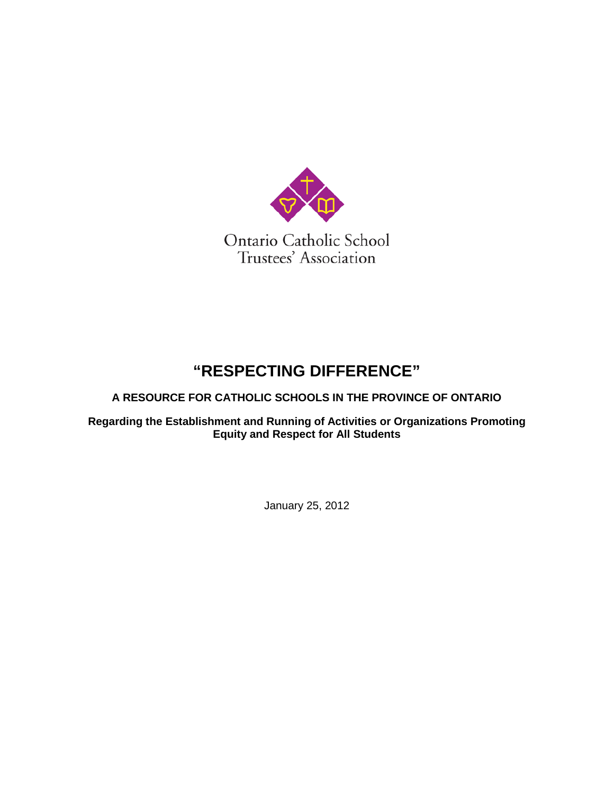

# **"RESPECTING DIFFERENCE"**

**A RESOURCE FOR CATHOLIC SCHOOLS IN THE PROVINCE OF ONTARIO**

**Regarding the Establishment and Running of Activities or Organizations Promoting Equity and Respect for All Students**

January 25, 2012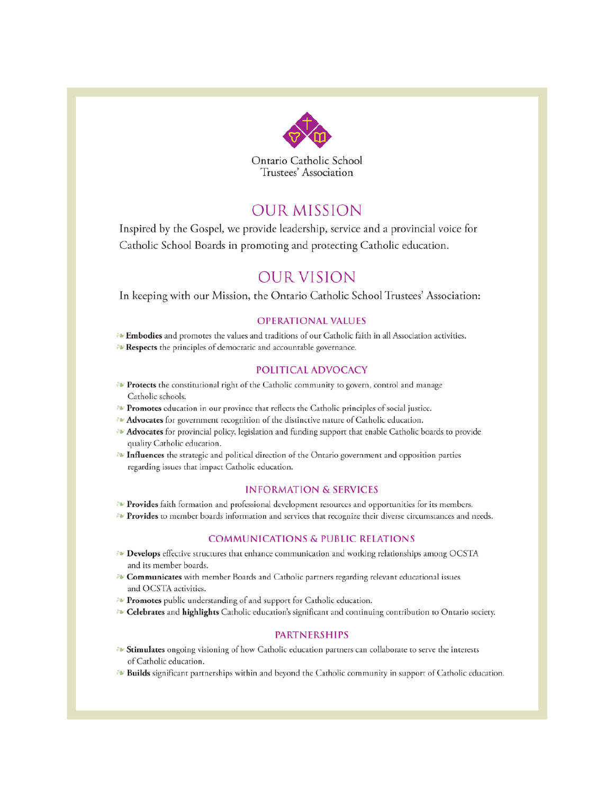

Ontario Catholic School Trustees' Association

### **OUR MISSION**

Inspired by the Gospel, we provide leadership, service and a provincial voice for Catholic School Boards in promoting and protecting Catholic education.

### OUR VISION

In keeping with our Mission, the Ontario Catholic School Trustees' Association:

#### **OPERATIONAL VALUES**

- Embodies and promotes the values and traditions of our Catholic faith in all Association activities.
- Respects the principles of democratic and accountable governance.

#### POLITICAL ADVOCACY

- Protects the constitutional right of the Catholic community to govern, control and manage Catholic schools.
- Promotes education in our province that reflects the Catholic principles of social justice.
- Advocates for government recognition of the distinctive nature of Catholic education.
- **Advocates** for provincial policy, legislation and funding support that enable Catholic boards to provide quality Catholic education.
- Influences the strategic and political direction of the Ontario government and opposition parties regarding issues that impact Catholic education.

#### **INFORMATION & SERVICES**

- Provides faith formation and professional development resources and opportunities for its members.
- Provides to member boards information and services that recognize their diverse circumstances and needs.

#### **COMMUNICATIONS & PUBLIC RELATIONS**

- **EV** Develops effective structures that enhance communication and working relationships among OCSTA and its member boards.
- Ev Communicates with member Boards and Catholic partners regarding relevant educational issues and OCSTA activities.
- Promotes public understanding of and support for Catholic education.
- Delebrates and highlights Catholic education's significant and continuing contribution to Ontario society.

#### **PARTNERSHIPS**

- Stimulates ongoing visioning of how Catholic education partners can collaborate to serve the interests of Catholic education.
- Builds significant partnerships within and beyond the Catholic community in support of Catholic education.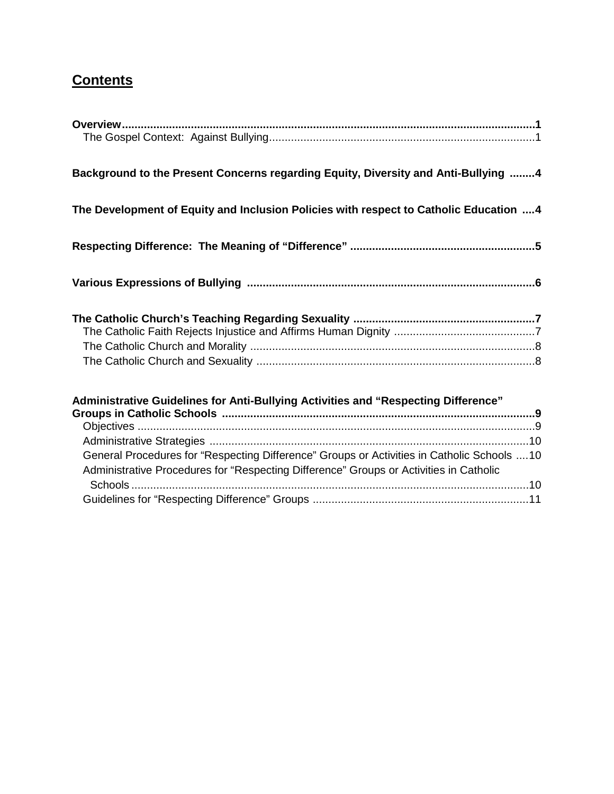# **Contents**

| Background to the Present Concerns regarding Equity, Diversity and Anti-Bullying 4          |  |
|---------------------------------------------------------------------------------------------|--|
| The Development of Equity and Inclusion Policies with respect to Catholic Education  4      |  |
|                                                                                             |  |
|                                                                                             |  |
|                                                                                             |  |
|                                                                                             |  |
|                                                                                             |  |
|                                                                                             |  |
| Administrative Guidelines for Anti-Bullying Activities and "Respecting Difference"          |  |
|                                                                                             |  |
|                                                                                             |  |
| General Procedures for "Respecting Difference" Groups or Activities in Catholic Schools  10 |  |
| Administrative Procedures for "Respecting Difference" Groups or Activities in Catholic      |  |
|                                                                                             |  |
|                                                                                             |  |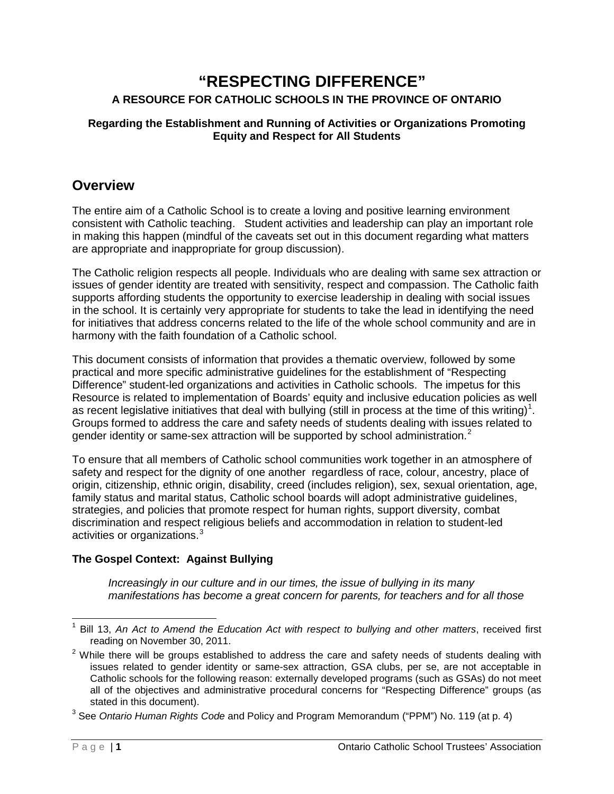### **"RESPECTING DIFFERENCE" A RESOURCE FOR CATHOLIC SCHOOLS IN THE PROVINCE OF ONTARIO**

### **Regarding the Establishment and Running of Activities or Organizations Promoting Equity and Respect for All Students**

### **Overview**

The entire aim of a Catholic School is to create a loving and positive learning environment consistent with Catholic teaching. Student activities and leadership can play an important role in making this happen (mindful of the caveats set out in this document regarding what matters are appropriate and inappropriate for group discussion).

The Catholic religion respects all people. Individuals who are dealing with same sex attraction or issues of gender identity are treated with sensitivity, respect and compassion. The Catholic faith supports affording students the opportunity to exercise leadership in dealing with social issues in the school. It is certainly very appropriate for students to take the lead in identifying the need for initiatives that address concerns related to the life of the whole school community and are in harmony with the faith foundation of a Catholic school.

This document consists of information that provides a thematic overview, followed by some practical and more specific administrative guidelines for the establishment of "Respecting Difference" student-led organizations and activities in Catholic schools. The impetus for this Resource is related to implementation of Boards' equity and inclusive education policies as well as recent legislative initiatives that deal with bullying (still in process at the time of this writing)<sup>[1](#page-4-0)</sup>. Groups formed to address the care and safety needs of students dealing with issues related to gender identity or same-sex attraction will be supported by school administration. $2$ 

To ensure that all members of Catholic school communities work together in an atmosphere of safety and respect for the dignity of one another regardless of race, colour, ancestry, place of origin, citizenship, ethnic origin, disability, creed (includes religion), sex, sexual orientation, age, family status and marital status, Catholic school boards will adopt administrative guidelines, strategies, and policies that promote respect for human rights, support diversity, combat discrimination and respect religious beliefs and accommodation in relation to student-led activities or organizations.<sup>[3](#page-4-2)</sup>

### **The Gospel Context: Against Bullying**

*Increasingly in our culture and in our times, the issue of bullying in its many manifestations has become a great concern for parents, for teachers and for all those* 

<span id="page-4-0"></span> <sup>1</sup> Bill 13, *An Act to Amend the Education Act with respect to bullying and other matters*, received first reading on November 30, 2011.

<span id="page-4-1"></span> $2$  While there will be groups established to address the care and safety needs of students dealing with issues related to gender identity or same-sex attraction, GSA clubs, per se, are not acceptable in Catholic schools for the following reason: externally developed programs (such as GSAs) do not meet all of the objectives and administrative procedural concerns for "Respecting Difference" groups (as stated in this document).

<span id="page-4-2"></span><sup>3</sup> See *Ontario Human Rights Code* and Policy and Program Memorandum ("PPM") No. 119 (at p. 4)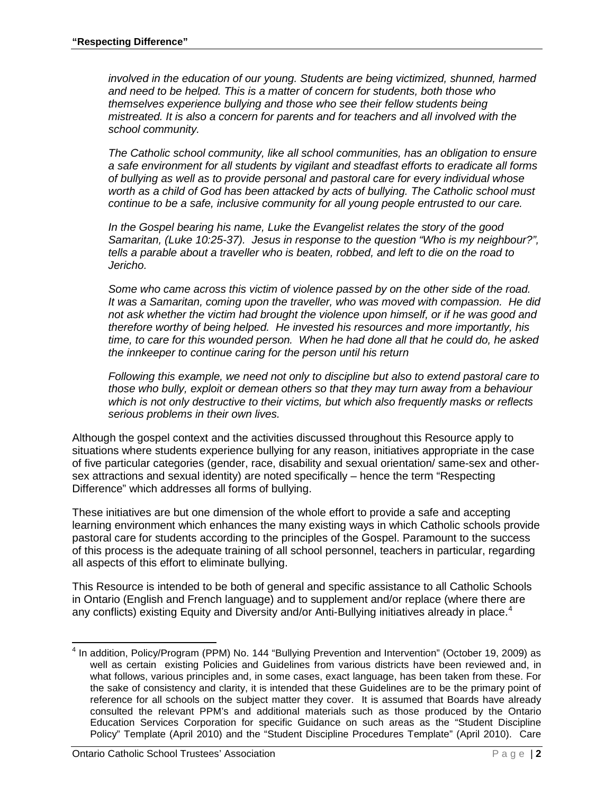*involved in the education of our young. Students are being victimized, shunned, harmed and need to be helped. This is a matter of concern for students, both those who themselves experience bullying and those who see their fellow students being mistreated. It is also a concern for parents and for teachers and all involved with the school community.*

*The Catholic school community, like all school communities, has an obligation to ensure a safe environment for all students by vigilant and steadfast efforts to eradicate all forms of bullying as well as to provide personal and pastoral care for every individual whose worth as a child of God has been attacked by acts of bullying. The Catholic school must continue to be a safe, inclusive community for all young people entrusted to our care.*

*In the Gospel bearing his name, Luke the Evangelist relates the story of the good Samaritan, (Luke 10:25-37). Jesus in response to the question "Who is my neighbour?", tells a parable about a traveller who is beaten, robbed, and left to die on the road to Jericho.* 

*Some who came across this victim of violence passed by on the other side of the road. It was a Samaritan, coming upon the traveller, who was moved with compassion. He did not ask whether the victim had brought the violence upon himself, or if he was good and therefore worthy of being helped. He invested his resources and more importantly, his time, to care for this wounded person. When he had done all that he could do, he asked the innkeeper to continue caring for the person until his return*

*Following this example, we need not only to discipline but also to extend pastoral care to those who bully, exploit or demean others so that they may turn away from a behaviour which is not only destructive to their victims, but which also frequently masks or reflects serious problems in their own lives.*

Although the gospel context and the activities discussed throughout this Resource apply to situations where students experience bullying for any reason, initiatives appropriate in the case of five particular categories (gender, race, disability and sexual orientation/ same-sex and othersex attractions and sexual identity) are noted specifically – hence the term "Respecting Difference" which addresses all forms of bullying.

These initiatives are but one dimension of the whole effort to provide a safe and accepting learning environment which enhances the many existing ways in which Catholic schools provide pastoral care for students according to the principles of the Gospel. Paramount to the success of this process is the adequate training of all school personnel, teachers in particular, regarding all aspects of this effort to eliminate bullying.

This Resource is intended to be both of general and specific assistance to all Catholic Schools in Ontario (English and French language) and to supplement and/or replace (where there are any conflicts) existing Equity and Diversity and/or Anti-Bullying initiatives already in place.<sup>[4](#page-5-0)</sup>

<span id="page-5-0"></span> $4$  In addition, Policy/Program (PPM) No. 144 "Bullying Prevention and Intervention" (October 19, 2009) as well as certain existing Policies and Guidelines from various districts have been reviewed and, in what follows, various principles and, in some cases, exact language, has been taken from these. For the sake of consistency and clarity, it is intended that these Guidelines are to be the primary point of reference for all schools on the subject matter they cover. It is assumed that Boards have already consulted the relevant PPM's and additional materials such as those produced by the Ontario Education Services Corporation for specific Guidance on such areas as the "Student Discipline Policy" Template (April 2010) and the "Student Discipline Procedures Template" (April 2010). Care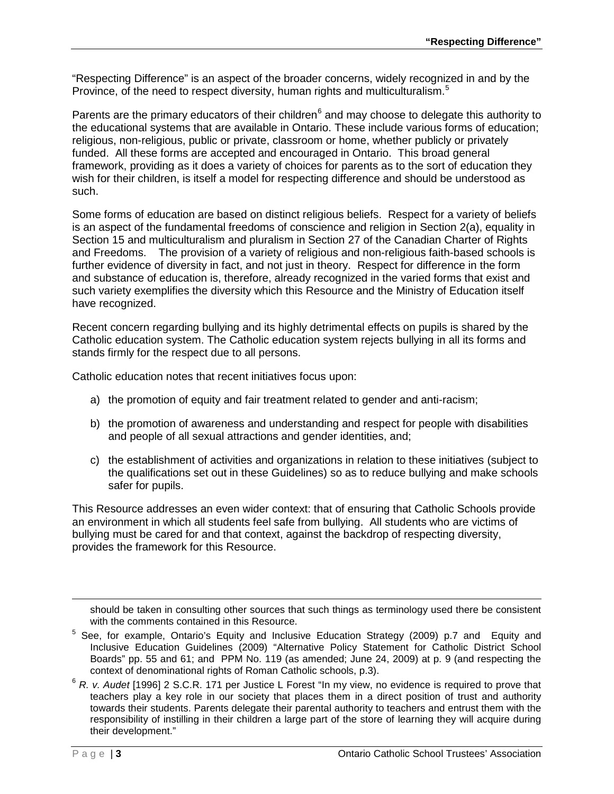"Respecting Difference" is an aspect of the broader concerns, widely recognized in and by the Province, of the need to respect diversity, human rights and multiculturalism.<sup>[5](#page-6-0)</sup>

Parents are the primary educators of their children $<sup>6</sup>$  $<sup>6</sup>$  $<sup>6</sup>$  and may choose to delegate this authority to</sup> the educational systems that are available in Ontario. These include various forms of education; religious, non-religious, public or private, classroom or home, whether publicly or privately funded. All these forms are accepted and encouraged in Ontario. This broad general framework, providing as it does a variety of choices for parents as to the sort of education they wish for their children, is itself a model for respecting difference and should be understood as such.

Some forms of education are based on distinct religious beliefs. Respect for a variety of beliefs is an aspect of the fundamental freedoms of conscience and religion in Section 2(a), equality in Section 15 and multiculturalism and pluralism in Section 27 of the Canadian Charter of Rights and Freedoms. The provision of a variety of religious and non-religious faith-based schools is further evidence of diversity in fact, and not just in theory. Respect for difference in the form and substance of education is, therefore, already recognized in the varied forms that exist and such variety exemplifies the diversity which this Resource and the Ministry of Education itself have recognized.

Recent concern regarding bullying and its highly detrimental effects on pupils is shared by the Catholic education system. The Catholic education system rejects bullying in all its forms and stands firmly for the respect due to all persons.

Catholic education notes that recent initiatives focus upon:

- a) the promotion of equity and fair treatment related to gender and anti-racism;
- b) the promotion of awareness and understanding and respect for people with disabilities and people of all sexual attractions and gender identities, and;
- c) the establishment of activities and organizations in relation to these initiatives (subject to the qualifications set out in these Guidelines) so as to reduce bullying and make schools safer for pupils.

This Resource addresses an even wider context: that of ensuring that Catholic Schools provide an environment in which all students feel safe from bullying. All students who are victims of bullying must be cared for and that context, against the backdrop of respecting diversity, provides the framework for this Resource.

-

should be taken in consulting other sources that such things as terminology used there be consistent with the comments contained in this Resource.

<span id="page-6-0"></span><sup>&</sup>lt;sup>5</sup> See. for example, Ontario's Equity and Inclusive Education Strategy (2009) p.7 and Equity and Inclusive Education Guidelines (2009) "Alternative Policy Statement for Catholic District School Boards" pp. 55 and 61; and PPM No. 119 (as amended; June 24, 2009) at p. 9 (and respecting the context of denominational rights of Roman Catholic schools, p.3).

<span id="page-6-1"></span><sup>6</sup> *R. v. Audet* [1996] 2 S.C.R. 171 per Justice L Forest "In my view, no evidence is required to prove that teachers play a key role in our society that places them in a direct position of trust and authority towards their students. Parents delegate their parental authority to teachers and entrust them with the responsibility of instilling in their children a large part of the store of learning they will acquire during their development."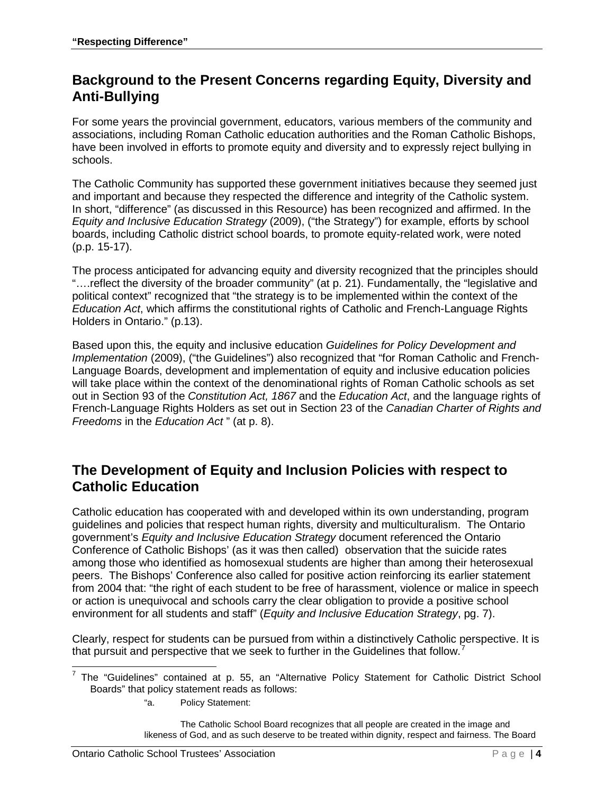## **Background to the Present Concerns regarding Equity, Diversity and Anti-Bullying**

For some years the provincial government, educators, various members of the community and associations, including Roman Catholic education authorities and the Roman Catholic Bishops, have been involved in efforts to promote equity and diversity and to expressly reject bullying in schools.

The Catholic Community has supported these government initiatives because they seemed just and important and because they respected the difference and integrity of the Catholic system. In short, "difference" (as discussed in this Resource) has been recognized and affirmed. In the *Equity and Inclusive Education Strategy* (2009), ("the Strategy") for example, efforts by school boards, including Catholic district school boards, to promote equity-related work, were noted (p.p. 15-17).

The process anticipated for advancing equity and diversity recognized that the principles should "….reflect the diversity of the broader community" (at p. 21). Fundamentally, the "legislative and political context" recognized that "the strategy is to be implemented within the context of the *Education Act*, which affirms the constitutional rights of Catholic and French-Language Rights Holders in Ontario." (p.13).

Based upon this, the equity and inclusive education *Guidelines for Policy Development and Implementation* (2009), ("the Guidelines") also recognized that "for Roman Catholic and French-Language Boards, development and implementation of equity and inclusive education policies will take place within the context of the denominational rights of Roman Catholic schools as set out in Section 93 of the *Constitution Act, 1867* and the *Education Act*, and the language rights of French-Language Rights Holders as set out in Section 23 of the *Canadian Charter of Rights and Freedoms* in the *Education Act* " (at p. 8).

### **The Development of Equity and Inclusion Policies with respect to Catholic Education**

Catholic education has cooperated with and developed within its own understanding, program guidelines and policies that respect human rights, diversity and multiculturalism. The Ontario government's *Equity and Inclusive Education Strategy* document referenced the Ontario Conference of Catholic Bishops' (as it was then called) observation that the suicide rates among those who identified as homosexual students are higher than among their heterosexual peers. The Bishops' Conference also called for positive action reinforcing its earlier statement from 2004 that: "the right of each student to be free of harassment, violence or malice in speech or action is unequivocal and schools carry the clear obligation to provide a positive school environment for all students and staff" (*Equity and Inclusive Education Strategy*, pg. 7).

Clearly, respect for students can be pursued from within a distinctively Catholic perspective. It is that pursuit and perspective that we seek to further in the Guidelines that follow.<sup>[7](#page-7-0)</sup>

"a. Policy Statement:

The Catholic School Board recognizes that all people are created in the image and likeness of God, and as such deserve to be treated within dignity, respect and fairness. The Board

<span id="page-7-0"></span> $7$  The "Guidelines" contained at p. 55, an "Alternative Policy Statement for Catholic District School Boards" that policy statement reads as follows: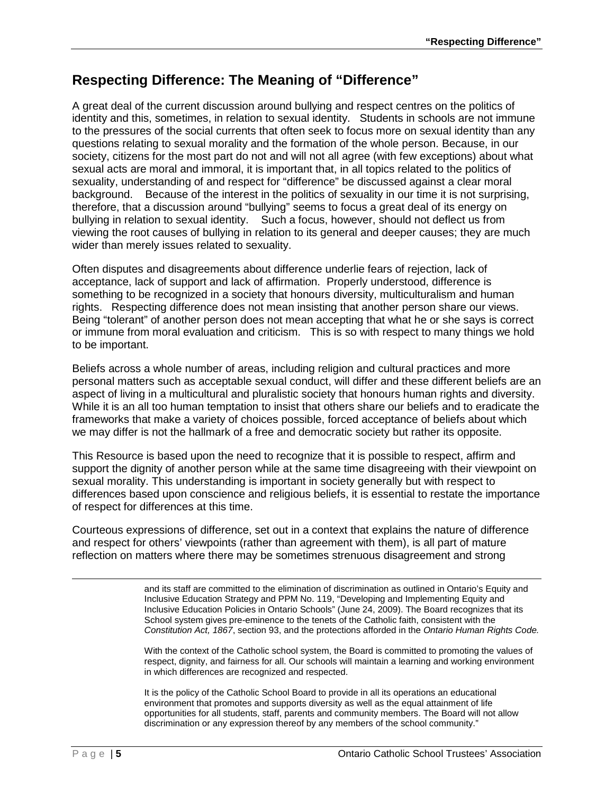## **Respecting Difference: The Meaning of "Difference"**

A great deal of the current discussion around bullying and respect centres on the politics of identity and this, sometimes, in relation to sexual identity. Students in schools are not immune to the pressures of the social currents that often seek to focus more on sexual identity than any questions relating to sexual morality and the formation of the whole person. Because, in our society, citizens for the most part do not and will not all agree (with few exceptions) about what sexual acts are moral and immoral, it is important that, in all topics related to the politics of sexuality, understanding of and respect for "difference" be discussed against a clear moral background. Because of the interest in the politics of sexuality in our time it is not surprising, therefore, that a discussion around "bullying" seems to focus a great deal of its energy on bullying in relation to sexual identity. Such a focus, however, should not deflect us from viewing the root causes of bullying in relation to its general and deeper causes; they are much wider than merely issues related to sexuality.

Often disputes and disagreements about difference underlie fears of rejection, lack of acceptance, lack of support and lack of affirmation. Properly understood, difference is something to be recognized in a society that honours diversity, multiculturalism and human rights. Respecting difference does not mean insisting that another person share our views. Being "tolerant" of another person does not mean accepting that what he or she says is correct or immune from moral evaluation and criticism. This is so with respect to many things we hold to be important.

Beliefs across a whole number of areas, including religion and cultural practices and more personal matters such as acceptable sexual conduct, will differ and these different beliefs are an aspect of living in a multicultural and pluralistic society that honours human rights and diversity. While it is an all too human temptation to insist that others share our beliefs and to eradicate the frameworks that make a variety of choices possible, forced acceptance of beliefs about which we may differ is not the hallmark of a free and democratic society but rather its opposite.

This Resource is based upon the need to recognize that it is possible to respect, affirm and support the dignity of another person while at the same time disagreeing with their viewpoint on sexual morality. This understanding is important in society generally but with respect to differences based upon conscience and religious beliefs, it is essential to restate the importance of respect for differences at this time.

Courteous expressions of difference, set out in a context that explains the nature of difference and respect for others' viewpoints (rather than agreement with them), is all part of mature reflection on matters where there may be sometimes strenuous disagreement and strong

> and its staff are committed to the elimination of discrimination as outlined in Ontario's Equity and Inclusive Education Strategy and PPM No. 119, "Developing and Implementing Equity and Inclusive Education Policies in Ontario Schools" (June 24, 2009). The Board recognizes that its School system gives pre-eminence to the tenets of the Catholic faith, consistent with the *Constitution Act, 1867*, section 93, and the protections afforded in the *Ontario Human Rights Code.*

> With the context of the Catholic school system, the Board is committed to promoting the values of respect, dignity, and fairness for all. Our schools will maintain a learning and working environment in which differences are recognized and respected.

It is the policy of the Catholic School Board to provide in all its operations an educational environment that promotes and supports diversity as well as the equal attainment of life opportunities for all students, staff, parents and community members. The Board will not allow discrimination or any expression thereof by any members of the school community."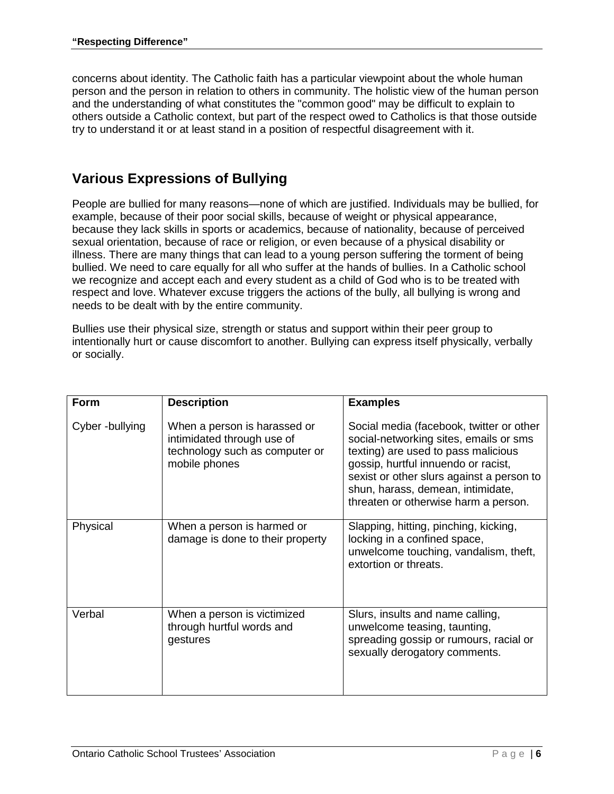concerns about identity. The Catholic faith has a particular viewpoint about the whole human person and the person in relation to others in community. The holistic view of the human person and the understanding of what constitutes the "common good" may be difficult to explain to others outside a Catholic context, but part of the respect owed to Catholics is that those outside try to understand it or at least stand in a position of respectful disagreement with it.

## **Various Expressions of Bullying**

People are bullied for many reasons—none of which are justified. Individuals may be bullied, for example, because of their poor social skills, because of weight or physical appearance, because they lack skills in sports or academics, because of nationality, because of perceived sexual orientation, because of race or religion, or even because of a physical disability or illness. There are many things that can lead to a young person suffering the torment of being bullied. We need to care equally for all who suffer at the hands of bullies. In a Catholic school we recognize and accept each and every student as a child of God who is to be treated with respect and love. Whatever excuse triggers the actions of the bully, all bullying is wrong and needs to be dealt with by the entire community.

Bullies use their physical size, strength or status and support within their peer group to intentionally hurt or cause discomfort to another. Bullying can express itself physically, verbally or socially.

| <b>Form</b>    | <b>Description</b>                                                                                            | <b>Examples</b>                                                                                                                                                                                                                                                                            |
|----------------|---------------------------------------------------------------------------------------------------------------|--------------------------------------------------------------------------------------------------------------------------------------------------------------------------------------------------------------------------------------------------------------------------------------------|
| Cyber-bullying | When a person is harassed or<br>intimidated through use of<br>technology such as computer or<br>mobile phones | Social media (facebook, twitter or other<br>social-networking sites, emails or sms<br>texting) are used to pass malicious<br>gossip, hurtful innuendo or racist,<br>sexist or other slurs against a person to<br>shun, harass, demean, intimidate,<br>threaten or otherwise harm a person. |
| Physical       | When a person is harmed or<br>damage is done to their property                                                | Slapping, hitting, pinching, kicking,<br>locking in a confined space,<br>unwelcome touching, vandalism, theft,<br>extortion or threats.                                                                                                                                                    |
| Verbal         | When a person is victimized<br>through hurtful words and<br>gestures                                          | Slurs, insults and name calling,<br>unwelcome teasing, taunting,<br>spreading gossip or rumours, racial or<br>sexually derogatory comments.                                                                                                                                                |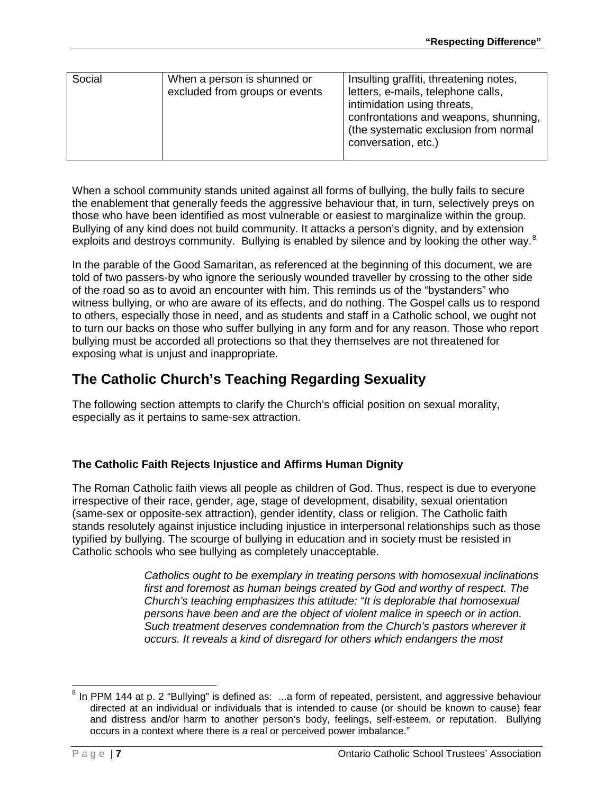| Social | When a person is shunned or<br>excluded from groups or events | Insulting graffiti, threatening notes,<br>letters, e-mails, telephone calls,<br>intimidation using threats,<br>confrontations and weapons, shunning,<br>(the systematic exclusion from normal<br>conversation, etc.) |
|--------|---------------------------------------------------------------|----------------------------------------------------------------------------------------------------------------------------------------------------------------------------------------------------------------------|

When a school community stands united against all forms of bullying, the bully fails to secure the enablement that generally feeds the aggressive behaviour that, in turn, selectively preys on those who have been identified as most vulnerable or easiest to marginalize within the group. Bullying of any kind does not build community. It attacks a person's dignity, and by extension exploits and destroys community. Bullying is enabled by silence and by looking the other way.<sup>[8](#page-10-0)</sup>

In the parable of the Good Samaritan, as referenced at the beginning of this document, we are told of two passers-by who ignore the seriously wounded traveller by crossing to the other side of the road so as to avoid an encounter with him. This reminds us of the "bystanders" who witness bullying, or who are aware of its effects, and do nothing. The Gospel calls us to respond to others, especially those in need, and as students and staff in a Catholic school, we ought not to turn our backs on those who suffer bullying in any form and for any reason. Those who report bullying must be accorded all protections so that they themselves are not threatened for exposing what is unjust and inappropriate.

## **The Catholic Church's Teaching Regarding Sexuality**

The following section attempts to clarify the Church's official position on sexual morality, especially as it pertains to same-sex attraction.

### **The Catholic Faith Rejects Injustice and Affirms Human Dignity**

The Roman Catholic faith views all people as children of God. Thus, respect is due to everyone irrespective of their race, gender, age, stage of development, disability, sexual orientation (same-sex or opposite-sex attraction), gender identity, class or religion. The Catholic faith stands resolutely against injustice including injustice in interpersonal relationships such as those typified by bullying. The scourge of bullying in education and in society must be resisted in Catholic schools who see bullying as completely unacceptable.

> *Catholics ought to be exemplary in treating persons with homosexual inclinations first and foremost as human beings created by God and worthy of respect. The Church's teaching emphasizes this attitude: "It is deplorable that homosexual persons have been and are the object of violent malice in speech or in action. Such treatment deserves condemnation from the Church's pastors wherever it occurs. It reveals a kind of disregard for others which endangers the most*

<span id="page-10-0"></span><sup>&</sup>lt;sup>8</sup> In PPM 144 at p. 2 "Bullying" is defined as: ...a form of repeated, persistent, and aggressive behaviour directed at an individual or individuals that is intended to cause (or should be known to cause) fear and distress and/or harm to another person's body, feelings, self-esteem, or reputation. Bullying occurs in a context where there is a real or perceived power imbalance."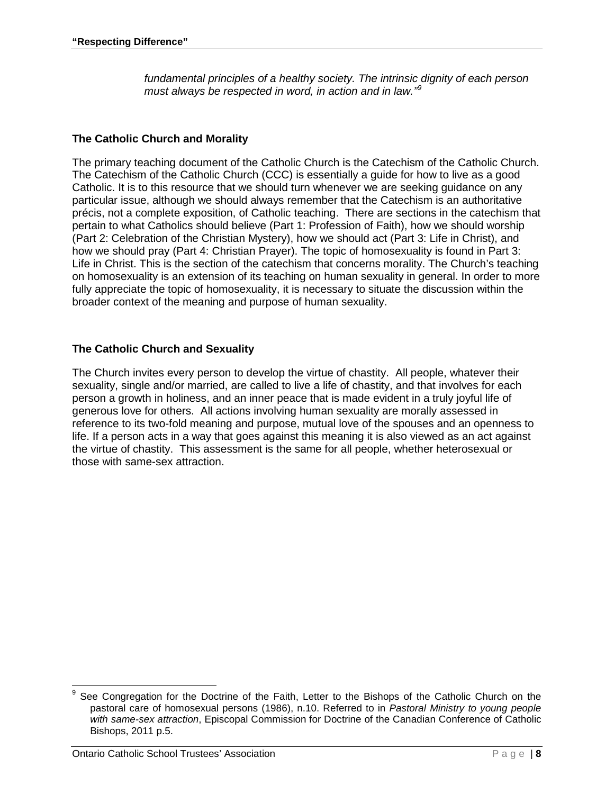*fundamental principles of a healthy society. The intrinsic dignity of each person*  must always be respected in word, in action and in law.<sup>1[9](#page-11-0)</sup>

### **The Catholic Church and Morality**

The primary teaching document of the Catholic Church is the Catechism of the Catholic Church. The Catechism of the Catholic Church (CCC) is essentially a guide for how to live as a good Catholic. It is to this resource that we should turn whenever we are seeking guidance on any particular issue, although we should always remember that the Catechism is an authoritative précis, not a complete exposition, of Catholic teaching. There are sections in the catechism that pertain to what Catholics should believe (Part 1: Profession of Faith), how we should worship (Part 2: Celebration of the Christian Mystery), how we should act (Part 3: Life in Christ), and how we should pray (Part 4: Christian Prayer). The topic of homosexuality is found in Part 3: Life in Christ. This is the section of the catechism that concerns morality. The Church's teaching on homosexuality is an extension of its teaching on human sexuality in general. In order to more fully appreciate the topic of homosexuality, it is necessary to situate the discussion within the broader context of the meaning and purpose of human sexuality.

### **The Catholic Church and Sexuality**

The Church invites every person to develop the virtue of chastity. All people, whatever their sexuality, single and/or married, are called to live a life of chastity, and that involves for each person a growth in holiness, and an inner peace that is made evident in a truly joyful life of generous love for others. All actions involving human sexuality are morally assessed in reference to its two-fold meaning and purpose, mutual love of the spouses and an openness to life. If a person acts in a way that goes against this meaning it is also viewed as an act against the virtue of chastity. This assessment is the same for all people, whether heterosexual or those with same-sex attraction.

<span id="page-11-0"></span>See Congregation for the Doctrine of the Faith, Letter to the Bishops of the Catholic Church on the pastoral care of homosexual persons (1986), n.10. Referred to in *Pastoral Ministry to young people with same-sex attraction*, Episcopal Commission for Doctrine of the Canadian Conference of Catholic Bishops, 2011 p.5.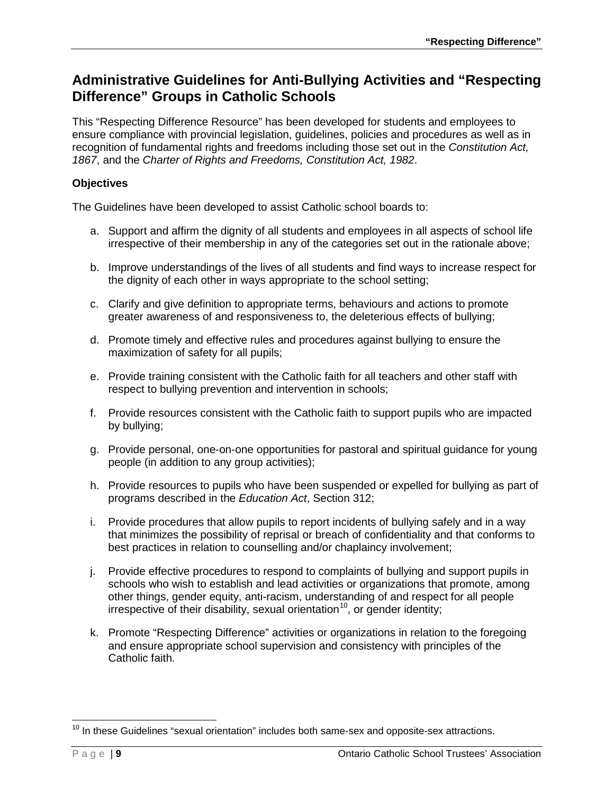## **Administrative Guidelines for Anti-Bullying Activities and "Respecting Difference" Groups in Catholic Schools**

This "Respecting Difference Resource" has been developed for students and employees to ensure compliance with provincial legislation, guidelines, policies and procedures as well as in recognition of fundamental rights and freedoms including those set out in the *Constitution Act, 1867*, and the *Charter of Rights and Freedoms, Constitution Act, 1982*.

### **Objectives**

The Guidelines have been developed to assist Catholic school boards to:

- a. Support and affirm the dignity of all students and employees in all aspects of school life irrespective of their membership in any of the categories set out in the rationale above;
- b. Improve understandings of the lives of all students and find ways to increase respect for the dignity of each other in ways appropriate to the school setting;
- c. Clarify and give definition to appropriate terms, behaviours and actions to promote greater awareness of and responsiveness to, the deleterious effects of bullying;
- d. Promote timely and effective rules and procedures against bullying to ensure the maximization of safety for all pupils;
- e. Provide training consistent with the Catholic faith for all teachers and other staff with respect to bullying prevention and intervention in schools;
- f. Provide resources consistent with the Catholic faith to support pupils who are impacted by bullying;
- g. Provide personal, one-on-one opportunities for pastoral and spiritual guidance for young people (in addition to any group activities);
- h. Provide resources to pupils who have been suspended or expelled for bullying as part of programs described in the *Education Act*, Section 312;
- i. Provide procedures that allow pupils to report incidents of bullying safely and in a way that minimizes the possibility of reprisal or breach of confidentiality and that conforms to best practices in relation to counselling and/or chaplaincy involvement;
- j. Provide effective procedures to respond to complaints of bullying and support pupils in schools who wish to establish and lead activities or organizations that promote, among other things, gender equity, anti-racism, understanding of and respect for all people irrespective of their disability, sexual orientation<sup>10</sup>, or gender identity;
- k. Promote "Respecting Difference" activities or organizations in relation to the foregoing and ensure appropriate school supervision and consistency with principles of the Catholic faith.

<span id="page-12-0"></span> $10$  In these Guidelines "sexual orientation" includes both same-sex and opposite-sex attractions.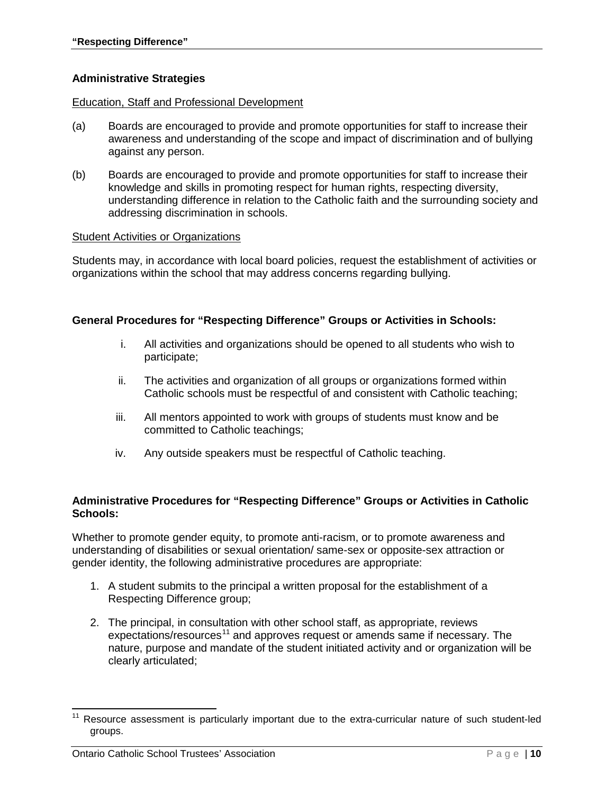### **Administrative Strategies**

#### Education, Staff and Professional Development

- (a) Boards are encouraged to provide and promote opportunities for staff to increase their awareness and understanding of the scope and impact of discrimination and of bullying against any person.
- (b) Boards are encouraged to provide and promote opportunities for staff to increase their knowledge and skills in promoting respect for human rights, respecting diversity, understanding difference in relation to the Catholic faith and the surrounding society and addressing discrimination in schools.

#### Student Activities or Organizations

Students may, in accordance with local board policies, request the establishment of activities or organizations within the school that may address concerns regarding bullying.

#### **General Procedures for "Respecting Difference" Groups or Activities in Schools:**

- i. All activities and organizations should be opened to all students who wish to participate;
- ii. The activities and organization of all groups or organizations formed within Catholic schools must be respectful of and consistent with Catholic teaching;
- iii. All mentors appointed to work with groups of students must know and be committed to Catholic teachings;
- iv. Any outside speakers must be respectful of Catholic teaching.

#### **Administrative Procedures for "Respecting Difference" Groups or Activities in Catholic Schools:**

Whether to promote gender equity, to promote anti-racism, or to promote awareness and understanding of disabilities or sexual orientation/ same-sex or opposite-sex attraction or gender identity, the following administrative procedures are appropriate:

- 1. A student submits to the principal a written proposal for the establishment of a Respecting Difference group;
- 2. The principal, in consultation with other school staff, as appropriate, reviews  $expectations/resources<sup>11</sup>$  $expectations/resources<sup>11</sup>$  $expectations/resources<sup>11</sup>$  and approves request or amends same if necessary. The nature, purpose and mandate of the student initiated activity and or organization will be clearly articulated;

<span id="page-13-0"></span>Resource assessment is particularly important due to the extra-curricular nature of such student-led groups.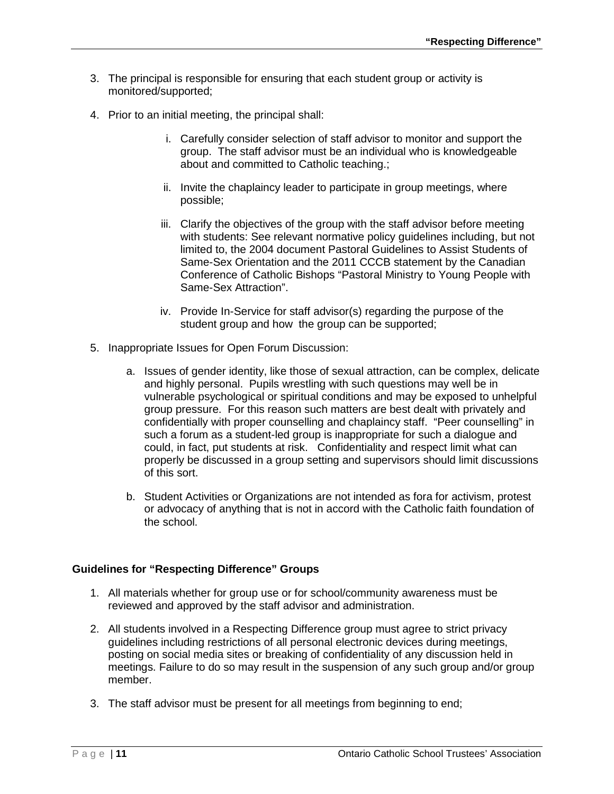- 3. The principal is responsible for ensuring that each student group or activity is monitored/supported;
- 4. Prior to an initial meeting, the principal shall:
	- i. Carefully consider selection of staff advisor to monitor and support the group. The staff advisor must be an individual who is knowledgeable about and committed to Catholic teaching.;
	- ii. Invite the chaplaincy leader to participate in group meetings, where possible;
	- iii. Clarify the objectives of the group with the staff advisor before meeting with students: See relevant normative policy guidelines including, but not limited to, the 2004 document Pastoral Guidelines to Assist Students of Same-Sex Orientation and the 2011 CCCB statement by the Canadian Conference of Catholic Bishops "Pastoral Ministry to Young People with Same-Sex Attraction".
	- iv. Provide In-Service for staff advisor(s) regarding the purpose of the student group and how the group can be supported;
- 5. Inappropriate Issues for Open Forum Discussion:
	- a. Issues of gender identity, like those of sexual attraction, can be complex, delicate and highly personal. Pupils wrestling with such questions may well be in vulnerable psychological or spiritual conditions and may be exposed to unhelpful group pressure. For this reason such matters are best dealt with privately and confidentially with proper counselling and chaplaincy staff. "Peer counselling" in such a forum as a student-led group is inappropriate for such a dialogue and could, in fact, put students at risk. Confidentiality and respect limit what can properly be discussed in a group setting and supervisors should limit discussions of this sort.
	- b. Student Activities or Organizations are not intended as fora for activism, protest or advocacy of anything that is not in accord with the Catholic faith foundation of the school.

### **Guidelines for "Respecting Difference" Groups**

- 1. All materials whether for group use or for school/community awareness must be reviewed and approved by the staff advisor and administration.
- 2. All students involved in a Respecting Difference group must agree to strict privacy guidelines including restrictions of all personal electronic devices during meetings, posting on social media sites or breaking of confidentiality of any discussion held in meetings. Failure to do so may result in the suspension of any such group and/or group member.
- 3. The staff advisor must be present for all meetings from beginning to end;